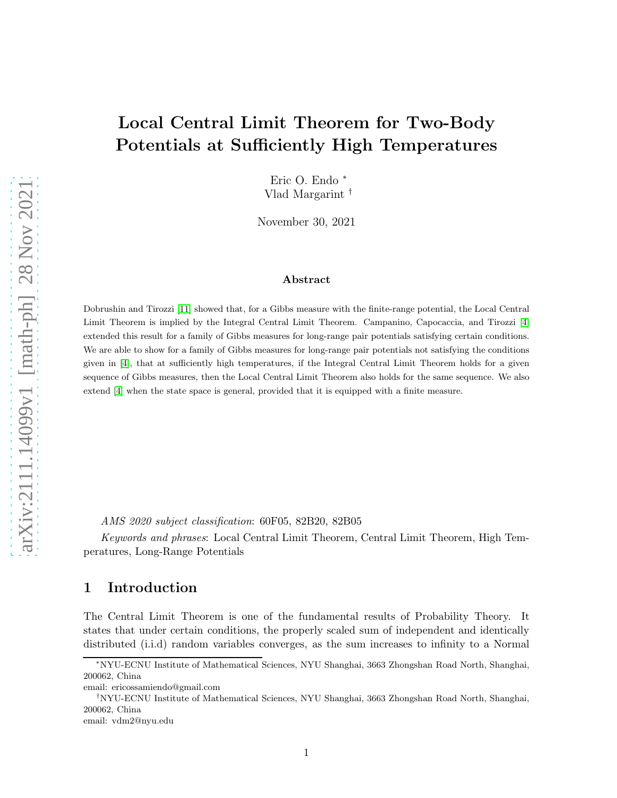# Local Central Limit Theorem for Two-Body Potentials at Sufficiently High Temperatures

Eric O. Endo <sup>∗</sup> Vlad Margarint †

November 30, 2021

### Abstract

Dobrushin and Tirozzi [\[11\]](#page-10-0) showed that, for a Gibbs measure with the finite-range potential, the Local Central Limit Theorem is implied by the Integral Central Limit Theorem. Campanino, Capocaccia, and Tirozzi [\[4\]](#page-9-0) extended this result for a family of Gibbs measures for long-range pair potentials satisfying certain conditions. We are able to show for a family of Gibbs measures for long-range pair potentials not satisfying the conditions given in [\[4\]](#page-9-0), that at sufficiently high temperatures, if the Integral Central Limit Theorem holds for a given sequence of Gibbs measures, then the Local Central Limit Theorem also holds for the same sequence. We also extend [\[4\]](#page-9-0) when the state space is general, provided that it is equipped with a finite measure.

AMS 2020 subject classification: 60F05, 82B20, 82B05

Keywords and phrases: Local Central Limit Theorem, Central Limit Theorem, High Temperatures, Long-Range Potentials

# 1 Introduction

The Central Limit Theorem is one of the fundamental results of Probability Theory. It states that under certain conditions, the properly scaled sum of independent and identically distributed (i.i.d) random variables converges, as the sum increases to infinity to a Normal

<sup>∗</sup>NYU-ECNU Institute of Mathematical Sciences, NYU Shanghai, 3663 Zhongshan Road North, Shanghai, 200062, China

email: ericossamiendo@gmail.com

<sup>†</sup>NYU-ECNU Institute of Mathematical Sciences, NYU Shanghai, 3663 Zhongshan Road North, Shanghai, 200062, China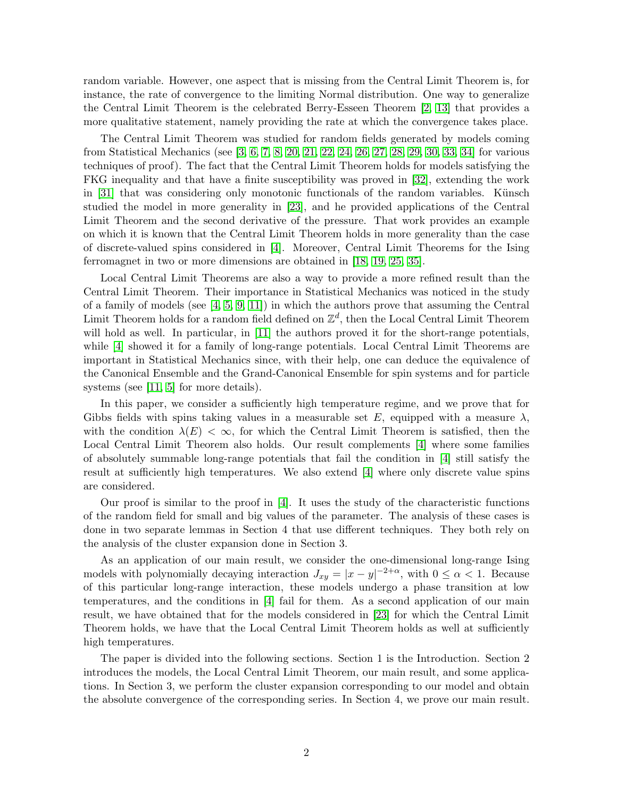random variable. However, one aspect that is missing from the Central Limit Theorem is, for instance, the rate of convergence to the limiting Normal distribution. One way to generalize the Central Limit Theorem is the celebrated Berry-Esseen Theorem [\[2,](#page-9-1) [13\]](#page-10-1) that provides a more qualitative statement, namely providing the rate at which the convergence takes place.

The Central Limit Theorem was studied for random fields generated by models coming from Statistical Mechanics (see [\[3,](#page-9-2) [6,](#page-9-3) [7,](#page-10-2) [8,](#page-10-3) [20,](#page-10-4) [21,](#page-10-5) [22,](#page-10-6) [24,](#page-10-7) [26,](#page-11-0) [27,](#page-11-1) [28,](#page-11-2) [29,](#page-11-3) [30,](#page-11-4) [33,](#page-11-5) [34\]](#page-11-6) for various techniques of proof). The fact that the Central Limit Theorem holds for models satisfying the FKG inequality and that have a finite susceptibility was proved in [\[32\]](#page-11-7), extending the work in  $[31]$  that was considering only monotonic functionals of the random variables. Künsch studied the model in more generality in [\[23\]](#page-10-8), and he provided applications of the Central Limit Theorem and the second derivative of the pressure. That work provides an example on which it is known that the Central Limit Theorem holds in more generality than the case of discrete-valued spins considered in [\[4\]](#page-9-0). Moreover, Central Limit Theorems for the Ising ferromagnet in two or more dimensions are obtained in [\[18,](#page-10-9) [19,](#page-10-10) [25,](#page-11-9) [35\]](#page-11-10).

Local Central Limit Theorems are also a way to provide a more refined result than the Central Limit Theorem. Their importance in Statistical Mechanics was noticed in the study of a family of models (see  $[4, 5, 9, 11]$  $[4, 5, 9, 11]$  $[4, 5, 9, 11]$  $[4, 5, 9, 11]$ ) in which the authors prove that assuming the Central Limit Theorem holds for a random field defined on  $\mathbb{Z}^d$ , then the Local Central Limit Theorem will hold as well. In particular, in [\[11\]](#page-10-0) the authors proved it for the short-range potentials, while  $[4]$  showed it for a family of long-range potentials. Local Central Limit Theorems are important in Statistical Mechanics since, with their help, one can deduce the equivalence of the Canonical Ensemble and the Grand-Canonical Ensemble for spin systems and for particle systems (see [\[11,](#page-10-0) [5\]](#page-9-4) for more details).

In this paper, we consider a sufficiently high temperature regime, and we prove that for Gibbs fields with spins taking values in a measurable set E, equipped with a measure  $\lambda$ , with the condition  $\lambda(E) < \infty$ , for which the Central Limit Theorem is satisfied, then the Local Central Limit Theorem also holds. Our result complements [\[4\]](#page-9-0) where some families of absolutely summable long-range potentials that fail the condition in [\[4\]](#page-9-0) still satisfy the result at sufficiently high temperatures. We also extend [\[4\]](#page-9-0) where only discrete value spins are considered.

Our proof is similar to the proof in [\[4\]](#page-9-0). It uses the study of the characteristic functions of the random field for small and big values of the parameter. The analysis of these cases is done in two separate lemmas in Section 4 that use different techniques. They both rely on the analysis of the cluster expansion done in Section 3.

As an application of our main result, we consider the one-dimensional long-range Ising models with polynomially decaying interaction  $J_{xy} = |x - y|^{-2+\alpha}$ , with  $0 \le \alpha < 1$ . Because of this particular long-range interaction, these models undergo a phase transition at low temperatures, and the conditions in [\[4\]](#page-9-0) fail for them. As a second application of our main result, we have obtained that for the models considered in [\[23\]](#page-10-8) for which the Central Limit Theorem holds, we have that the Local Central Limit Theorem holds as well at sufficiently high temperatures.

The paper is divided into the following sections. Section 1 is the Introduction. Section 2 introduces the models, the Local Central Limit Theorem, our main result, and some applications. In Section 3, we perform the cluster expansion corresponding to our model and obtain the absolute convergence of the corresponding series. In Section 4, we prove our main result.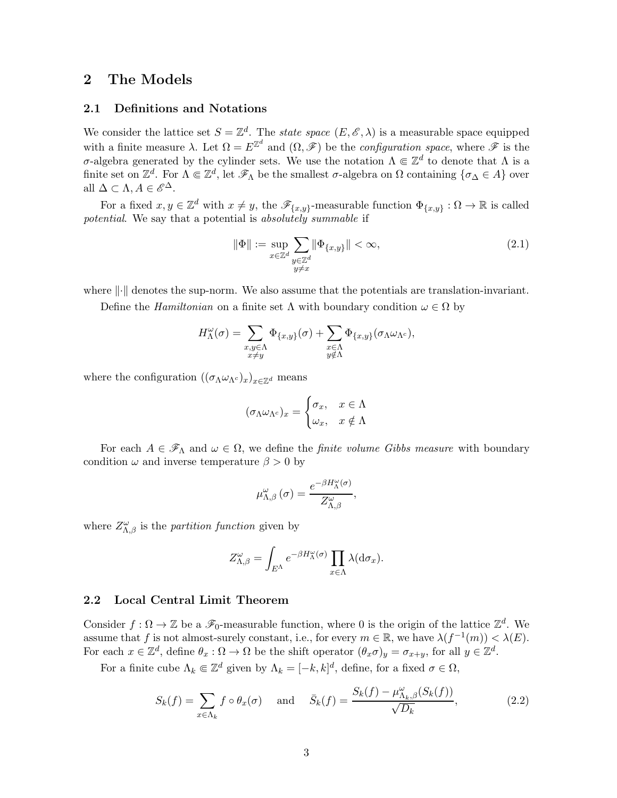# 2 The Models

### 2.1 Definitions and Notations

We consider the lattice set  $S = \mathbb{Z}^d$ . The *state space*  $(E, \mathscr{E}, \lambda)$  is a measurable space equipped with a finite measure  $\lambda$ . Let  $\Omega = E^{\mathbb{Z}^d}$  and  $(\Omega, \mathscr{F})$  be the *configuration space*, where  $\mathscr{F}$  is the σ-algebra generated by the cylinder sets. We use the notation  $\Lambda \Subset \mathbb{Z}^d$  to denote that  $\Lambda$  is a finite set on  $\mathbb{Z}^d$ . For  $\Lambda \Subset \mathbb{Z}^d$ , let  $\mathscr{F}_{\Lambda}$  be the smallest  $\sigma$ -algebra on  $\Omega$  containing  $\{\sigma_{\Delta} \in A\}$  over all  $\Delta \subset \Lambda, A \in \mathscr{E}^{\Delta}$ .

For a fixed  $x, y \in \mathbb{Z}^d$  with  $x \neq y$ , the  $\mathscr{F}_{\{x,y\}}$ -measurable function  $\Phi_{\{x,y\}} : \Omega \to \mathbb{R}$  is called potential. We say that a potential is absolutely summable if

<span id="page-2-0"></span>
$$
\|\Phi\| := \sup_{\substack{x \in \mathbb{Z}^d \\ y \neq x}} \sum_{\substack{y \in \mathbb{Z}^d \\ y \neq x}} \|\Phi_{\{x,y\}}\| < \infty,\tag{2.1}
$$

where  $\|\cdot\|$  denotes the sup-norm. We also assume that the potentials are translation-invariant.

Define the *Hamiltonian* on a finite set  $\Lambda$  with boundary condition  $\omega \in \Omega$  by

$$
H_\Lambda^\omega(\sigma) = \sum_{\substack{x,y \in \Lambda \\ x \neq y}} \Phi_{\{x,y\}}(\sigma) + \sum_{\substack{x \in \Lambda \\ y \notin \Lambda}} \Phi_{\{x,y\}}(\sigma_\Lambda \omega_{\Lambda^c}),
$$

where the configuration  $((\sigma_{\Lambda}\omega_{\Lambda^c})_x)_{x\in\mathbb{Z}^d}$  means

$$
(\sigma_{\Lambda}\omega_{\Lambda^c})_x = \begin{cases} \sigma_x, & x \in \Lambda \\ \omega_x, & x \notin \Lambda \end{cases}
$$

For each  $A \in \mathscr{F}_{\Lambda}$  and  $\omega \in \Omega$ , we define the *finite volume Gibbs measure* with boundary condition  $\omega$  and inverse temperature  $\beta > 0$  by

$$
\mu_{\Lambda,\beta}^{\omega}\left(\sigma\right) = \frac{e^{-\beta H_{\Lambda}^{\omega}\left(\sigma\right)}}{Z_{\Lambda,\beta}^{\omega}},
$$

where  $Z^{\omega}_{\Lambda,\beta}$  is the *partition function* given by

$$
Z^{\omega}_{\Lambda,\beta} = \int_{E^{\Lambda}} e^{-\beta H^{\omega}_{\Lambda}(\sigma)} \prod_{x \in \Lambda} \lambda(d\sigma_x).
$$

### 2.2 Local Central Limit Theorem

Consider  $f : \Omega \to \mathbb{Z}$  be a  $\mathscr{F}_0$ -measurable function, where 0 is the origin of the lattice  $\mathbb{Z}^d$ . We assume that f is not almost-surely constant, i.e., for every  $m \in \mathbb{R}$ , we have  $\lambda(f^{-1}(m)) < \lambda(E)$ . For each  $x \in \mathbb{Z}^d$ , define  $\theta_x : \Omega \to \Omega$  be the shift operator  $(\theta_x \sigma)_y = \sigma_{x+y}$ , for all  $y \in \mathbb{Z}^d$ .

For a finite cube  $\Lambda_k \in \mathbb{Z}^d$  given by  $\Lambda_k = [-k, k]^d$ , define, for a fixed  $\sigma \in \Omega$ ,

$$
S_k(f) = \sum_{x \in \Lambda_k} f \circ \theta_x(\sigma) \quad \text{and} \quad \bar{S}_k(f) = \frac{S_k(f) - \mu_{\Lambda_k, \beta}^{\omega}(S_k(f))}{\sqrt{D_k}},\tag{2.2}
$$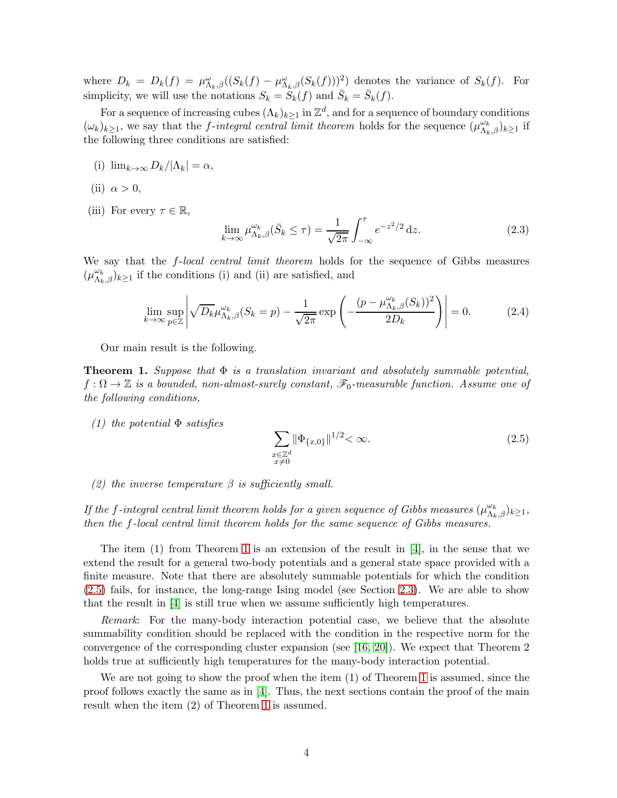where  $D_k = D_k(f) = \mu_{\Lambda_k,\beta}^{\omega}((S_k(f) - \mu_{\Lambda_k,\beta}^{\omega}(S_k(f)))^2)$  denotes the variance of  $S_k(f)$ . For simplicity, we will use the notations  $S_k = \tilde{S}_k(f)$  and  $\bar{S}_k = \bar{S}_k(f)$ .

For a sequence of increasing cubes  $(\Lambda_k)_{k\geq 1}$  in  $\mathbb{Z}^d$ , and for a sequence of boundary conditions  $(\omega_k)_{k\geq 1}$ , we say that the *f*-integral central limit theorem holds for the sequence  $(\mu_{\Lambda_k,\beta}^{\omega_k})_{k\geq 1}$  if the following three conditions are satisfied:

- (i)  $\lim_{k\to\infty} D_k/|\Lambda_k| = \alpha$ ,
- (ii)  $\alpha > 0$ ,
- (iii) For every  $\tau \in \mathbb{R}$ ,

$$
\lim_{k \to \infty} \mu_{\Lambda_k, \beta}^{\omega_k} (\bar{S}_k \le \tau) = \frac{1}{\sqrt{2\pi}} \int_{-\infty}^{\tau} e^{-z^2/2} dz.
$$
 (2.3)

We say that the *f*-local central limit theorem holds for the sequence of Gibbs measures  $(\mu^{\omega_k}_{\Lambda_k,\beta})_{k\geq 1}$  if the conditions (i) and (ii) are satisfied, and

$$
\lim_{k \to \infty} \sup_{p \in \mathbb{Z}} \left| \sqrt{D_k} \mu_{\Lambda_k, \beta}^{\omega_k}(S_k = p) - \frac{1}{\sqrt{2\pi}} \exp\left(-\frac{(p - \mu_{\Lambda_k, \beta}^{\omega_k}(S_k))^2}{2D_k}\right) \right| = 0. \tag{2.4}
$$

Our main result is the following.

<span id="page-3-0"></span>**Theorem 1.** Suppose that  $\Phi$  is a translation invariant and absolutely summable potential,  $f: \Omega \to \mathbb{Z}$  is a bounded, non-almost-surely constant,  $\mathscr{F}_0$ -measurable function. Assume one of the following conditions,

(1) the potential  $\Phi$  satisfies

<span id="page-3-1"></span>
$$
\sum_{\substack{x \in \mathbb{Z}^d \\ x \neq 0}} ||\Phi_{\{x,0\}}||^{1/2} < \infty.
$$
\n(2.5)

(2) the inverse temperature  $\beta$  is sufficiently small.

If the f-integral central limit theorem holds for a given sequence of Gibbs measures  $(\mu_{\Lambda_k,\beta}^{\omega_k})_{k\geq 1}$ , then the f-local central limit theorem holds for the same sequence of Gibbs measures.

The item  $(1)$  from Theorem [1](#page-3-0) is an extension of the result in [\[4\]](#page-9-0), in the sense that we extend the result for a general two-body potentials and a general state space provided with a finite measure. Note that there are absolutely summable potentials for which the condition [\(2.5\)](#page-3-1) fails, for instance, the long-range Ising model (see Section [2.3\)](#page-4-0). We are able to show that the result in [\[4\]](#page-9-0) is still true when we assume sufficiently high temperatures.

Remark: For the many-body interaction potential case, we believe that the absolute summability condition should be replaced with the condition in the respective norm for the convergence of the corresponding cluster expansion (see [\[16,](#page-10-11) [20\]](#page-10-4)). We expect that Theorem 2 holds true at sufficiently high temperatures for the many-body interaction potential.

We are not going to show the proof when the item (1) of Theorem [1](#page-3-0) is assumed, since the proof follows exactly the same as in [\[4\]](#page-9-0). Thus, the next sections contain the proof of the main result when the item (2) of Theorem [1](#page-3-0) is assumed.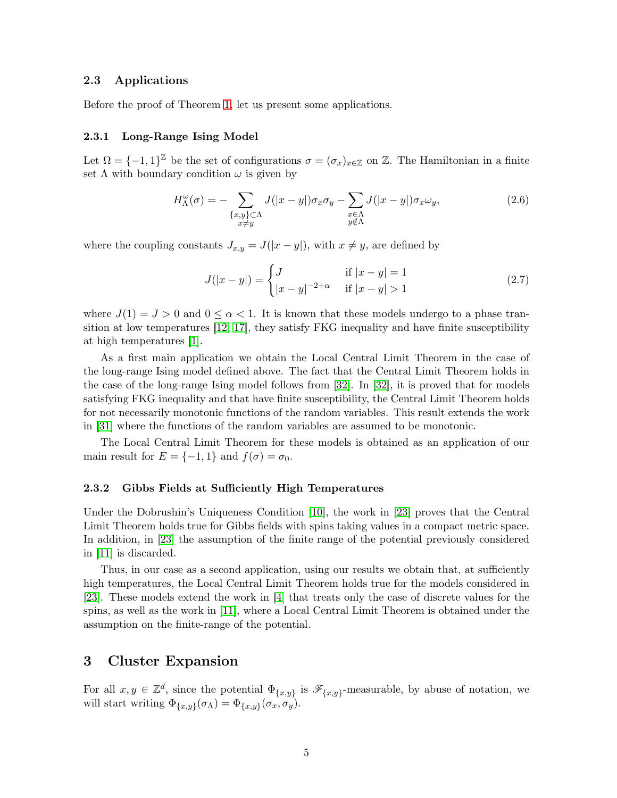### <span id="page-4-0"></span>2.3 Applications

Before the proof of Theorem [1,](#page-3-0) let us present some applications.

#### 2.3.1 Long-Range Ising Model

Let  $\Omega = \{-1,1\}^{\mathbb{Z}}$  be the set of configurations  $\sigma = (\sigma_x)_{x \in \mathbb{Z}}$  on  $\mathbb{Z}$ . The Hamiltonian in a finite set  $\Lambda$  with boundary condition  $\omega$  is given by

$$
H_{\Lambda}^{\omega}(\sigma) = -\sum_{\substack{\{x,y\}\subset\Lambda\\x\neq y}} J(|x-y|) \sigma_x \sigma_y - \sum_{\substack{x\in\Lambda\\y\notin\Lambda}} J(|x-y|) \sigma_x \omega_y,
$$
\n(2.6)

where the coupling constants  $J_{x,y} = J(|x-y|)$ , with  $x \neq y$ , are defined by

$$
J(|x-y|) = \begin{cases} J & \text{if } |x-y| = 1\\ |x-y|^{-2+\alpha} & \text{if } |x-y| > 1 \end{cases}
$$
 (2.7)

where  $J(1) = J > 0$  and  $0 \le \alpha < 1$ . It is known that these models undergo to a phase transition at low temperatures [\[12,](#page-10-12) [17\]](#page-10-13), they satisfy FKG inequality and have finite susceptibility at high temperatures [\[1\]](#page-9-5).

As a first main application we obtain the Local Central Limit Theorem in the case of the long-range Ising model defined above. The fact that the Central Limit Theorem holds in the case of the long-range Ising model follows from [\[32\]](#page-11-7). In [\[32\]](#page-11-7), it is proved that for models satisfying FKG inequality and that have finite susceptibility, the Central Limit Theorem holds for not necessarily monotonic functions of the random variables. This result extends the work in [\[31\]](#page-11-8) where the functions of the random variables are assumed to be monotonic.

The Local Central Limit Theorem for these models is obtained as an application of our main result for  $E = \{-1, 1\}$  and  $f(\sigma) = \sigma_0$ .

### 2.3.2 Gibbs Fields at Sufficiently High Temperatures

Under the Dobrushin's Uniqueness Condition [\[10\]](#page-10-14), the work in [\[23\]](#page-10-8) proves that the Central Limit Theorem holds true for Gibbs fields with spins taking values in a compact metric space. In addition, in [\[23\]](#page-10-8) the assumption of the finite range of the potential previously considered in [\[11\]](#page-10-0) is discarded.

Thus, in our case as a second application, using our results we obtain that, at sufficiently high temperatures, the Local Central Limit Theorem holds true for the models considered in [\[23\]](#page-10-8). These models extend the work in [\[4\]](#page-9-0) that treats only the case of discrete values for the spins, as well as the work in [\[11\]](#page-10-0), where a Local Central Limit Theorem is obtained under the assumption on the finite-range of the potential.

## 3 Cluster Expansion

For all  $x, y \in \mathbb{Z}^d$ , since the potential  $\Phi_{\{x,y\}}$  is  $\mathscr{F}_{\{x,y\}}$ -measurable, by abuse of notation, we will start writing  $\Phi_{\{x,y\}}(\sigma_{\Lambda}) = \Phi_{\{x,y\}}(\sigma_x, \sigma_y)$ .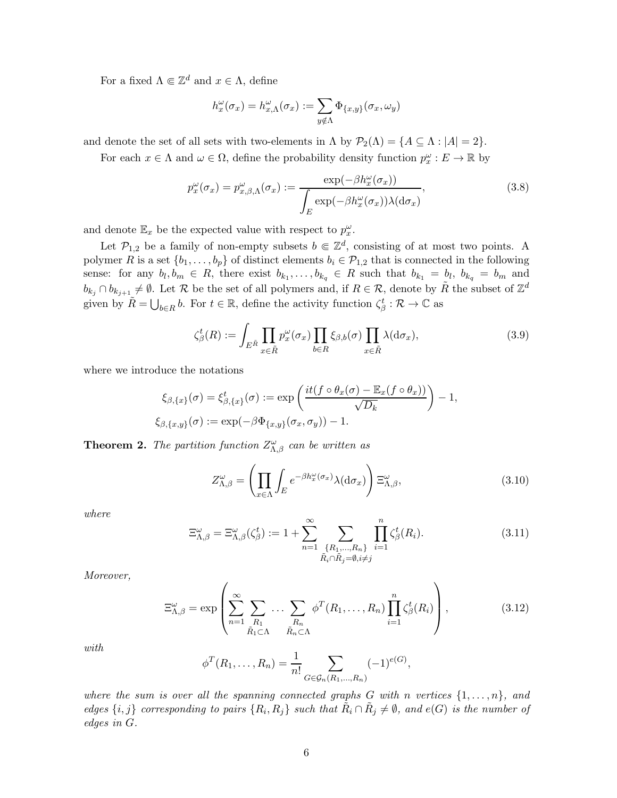For a fixed  $\Lambda \Subset \mathbb{Z}^d$  and  $x \in \Lambda$ , define

$$
h_x^{\omega}(\sigma_x) = h_{x,\Lambda}^{\omega}(\sigma_x) := \sum_{y \notin \Lambda} \Phi_{\{x,y\}}(\sigma_x, \omega_y)
$$

and denote the set of all sets with two-elements in  $\Lambda$  by  $\mathcal{P}_2(\Lambda) = \{A \subseteq \Lambda : |A| = 2\}.$ 

For each  $x \in \Lambda$  and  $\omega \in \Omega$ , define the probability density function  $p_x^{\omega}: E \to \mathbb{R}$  by

$$
p_x^{\omega}(\sigma_x) = p_{x,\beta,\Lambda}^{\omega}(\sigma_x) := \frac{\exp(-\beta h_x^{\omega}(\sigma_x))}{\int_E \exp(-\beta h_x^{\omega}(\sigma_x)) \lambda(\mathrm{d}\sigma_x)},\tag{3.8}
$$

and denote  $\mathbb{E}_x$  be the expected value with respect to  $p_x^{\omega}$ .

Let  $\mathcal{P}_{1,2}$  be a family of non-empty subsets  $b \in \mathbb{Z}^d$ , consisting of at most two points. A polymer R is a set  $\{b_1, \ldots, b_p\}$  of distinct elements  $b_i \in \mathcal{P}_{1,2}$  that is connected in the following sense: for any  $b_l, b_m \in R$ , there exist  $b_{k_1}, \ldots, b_{k_q} \in R$  such that  $b_{k_1} = b_l$ ,  $b_{k_q} = b_m$  and  $b_{k_j} \cap b_{k_{j+1}} \neq \emptyset$ . Let R be the set of all polymers and, if  $R \in \mathcal{R}$ , denote by  $\tilde{R}$  the subset of  $\mathbb{Z}^d$ given by  $\tilde{R} = \bigcup_{b \in R} b$ . For  $t \in \mathbb{R}$ , define the activity function  $\zeta_{\beta}^t : \mathcal{R} \to \mathbb{C}$  as

$$
\zeta_{\beta}^{t}(R) := \int_{E^{\tilde{R}}} \prod_{x \in \tilde{R}} p_{x}^{\omega}(\sigma_{x}) \prod_{b \in R} \xi_{\beta,b}(\sigma) \prod_{x \in \tilde{R}} \lambda(\mathrm{d}\sigma_{x}), \tag{3.9}
$$

where we introduce the notations

$$
\xi_{\beta,\{x\}}(\sigma) = \xi_{\beta,\{x\}}^t(\sigma) := \exp\left(\frac{it(f \circ \theta_x(\sigma) - \mathbb{E}_x(f \circ \theta_x))}{\sqrt{D_k}}\right) - 1,
$$
  

$$
\xi_{\beta,\{x,y\}}(\sigma) := \exp(-\beta \Phi_{\{x,y\}}(\sigma_x, \sigma_y)) - 1.
$$

**Theorem 2.** The partition function  $Z^{\omega}_{\Lambda,\beta}$  can be written as

<span id="page-5-1"></span>
$$
Z_{\Lambda,\beta}^{\omega} = \left(\prod_{x \in \Lambda} \int_{E} e^{-\beta h_x^{\omega}(\sigma_x)} \lambda(\mathrm{d}\sigma_x)\right) \Xi_{\Lambda,\beta}^{\omega},\tag{3.10}
$$

where

$$
\Xi_{\Lambda,\beta}^{\omega} = \Xi_{\Lambda,\beta}^{\omega}(\zeta_{\beta}^{t}) := 1 + \sum_{n=1}^{\infty} \sum_{\substack{\{R_1,\ldots,R_n\}\\ \tilde{R}_i \cap \tilde{R}_j = \emptyset, i \neq j}} \prod_{i=1}^{n} \zeta_{\beta}^{t}(R_i). \tag{3.11}
$$

Moreover,

<span id="page-5-0"></span>
$$
\Xi_{\Lambda,\beta}^{\omega} = \exp\left(\sum_{n=1}^{\infty} \sum_{\substack{R_1\\ \tilde{R}_1 \subset \Lambda}} \cdots \sum_{\substack{R_n\\ \tilde{R}_n \subset \Lambda}} \phi^T(R_1,\ldots,R_n) \prod_{i=1}^n \zeta_{\beta}^t(R_i)\right),\tag{3.12}
$$

with

$$
\phi^T(R_1,\ldots,R_n) = \frac{1}{n!} \sum_{G \in \mathcal{G}_n(R_1,\ldots,R_n)} (-1)^{e(G)},
$$

where the sum is over all the spanning connected graphs G with n vertices  $\{1, \ldots, n\}$ , and edges  $\{i, j\}$  corresponding to pairs  $\{R_i, R_j\}$  such that  $\tilde{R}_i \cap \tilde{R}_j \neq \emptyset$ , and  $e(G)$  is the number of edges in G.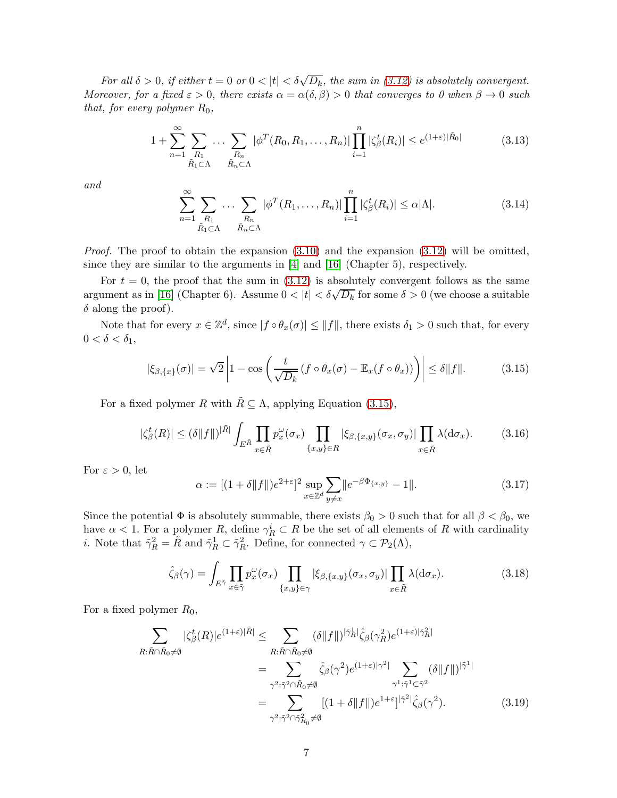For all  $\delta > 0$ , if either  $t = 0$  or  $0 < |t| < \delta \sqrt{D_k}$ , the sum in [\(3.12\)](#page-5-0) is absolutely convergent. Moreover, for a fixed  $\varepsilon > 0$ , there exists  $\alpha = \alpha(\delta, \beta) > 0$  that converges to 0 when  $\beta \to 0$  such that, for every polymer  $R_0$ ,

$$
1 + \sum_{n=1}^{\infty} \sum_{\substack{R_1 \\ \tilde{R}_1 \subset \Lambda}} \dots \sum_{\substack{R_n \\ \tilde{R}_n \subset \Lambda}} |\phi^T(R_0, R_1, \dots, R_n)| \prod_{i=1}^n |\zeta_{\beta}^t(R_i)| \le e^{(1+\varepsilon)|\tilde{R}_0|}
$$
(3.13)

and

$$
\sum_{n=1}^{\infty} \sum_{\substack{R_1 \\ \tilde{R}_1 \subset \Lambda}} \dots \sum_{\substack{R_n \\ \tilde{R}_n \subset \Lambda}} |\phi^T(R_1, \dots, R_n)| \prod_{i=1}^n |\zeta_{\beta}^t(R_i)| \leq \alpha |\Lambda|.
$$
 (3.14)

*Proof.* The proof to obtain the expansion  $(3.10)$  and the expansion  $(3.12)$  will be omitted, since they are similar to the arguments in [\[4\]](#page-9-0) and [\[16\]](#page-10-11) (Chapter 5), respectively.

For  $t = 0$ , the proof that the sum in  $(3.12)$  is absolutely convergent follows as the same argument as in [\[16\]](#page-10-11) (Chapter 6). Assume  $0 < |t| < \delta \sqrt{D_k}$  for some  $\delta > 0$  (we choose a suitable  $\delta$  along the proof).

Note that for every  $x \in \mathbb{Z}^d$ , since  $|f \circ \theta_x(\sigma)| \le ||f||$ , there exists  $\delta_1 > 0$  such that, for every  $0 < \delta < \delta_1$ ,

<span id="page-6-0"></span>
$$
|\xi_{\beta,\{x\}}(\sigma)| = \sqrt{2} \left| 1 - \cos \left( \frac{t}{\sqrt{D_k}} \left( f \circ \theta_x(\sigma) - \mathbb{E}_x(f \circ \theta_x) \right) \right) \right| \le \delta ||f||. \tag{3.15}
$$

For a fixed polymer R with  $\tilde{R} \subseteq \Lambda$ , applying Equation [\(3.15\)](#page-6-0),

$$
|\zeta_{\beta}^{t}(R)| \leq (\delta \|f\|)^{|\tilde{R}|} \int_{E^{\tilde{R}}} \prod_{x \in \tilde{R}} p_{x}^{\omega}(\sigma_{x}) \prod_{\{x,y\} \in R} |\xi_{\beta,\{x,y\}}(\sigma_{x}, \sigma_{y})| \prod_{x \in \tilde{R}} \lambda(\mathrm{d}\sigma_{x}). \tag{3.16}
$$

For  $\varepsilon > 0$ , let

$$
\alpha := [(1 + \delta ||f||)e^{2+\epsilon}]^2 \sup_{x \in \mathbb{Z}^d} \sum_{y \neq x} ||e^{-\beta \Phi_{\{x,y\}}}-1||. \tag{3.17}
$$

Since the potential  $\Phi$  is absolutely summable, there exists  $\beta_0 > 0$  such that for all  $\beta < \beta_0$ , we have  $\alpha < 1$ . For a polymer R, define  $\gamma_R^i \subset R$  be the set of all elements of R with cardinality *i*. Note that  $\tilde{\gamma}_R^2 = \tilde{R}$  and  $\tilde{\gamma}_R^1 \subset \tilde{\gamma}_R^2$ . Define, for connected  $\gamma \subset \mathcal{P}_2(\Lambda)$ ,

<span id="page-6-1"></span>
$$
\hat{\zeta}_{\beta}(\gamma) = \int_{E^{\tilde{\gamma}}} \prod_{x \in \tilde{\gamma}} p_x^{\omega}(\sigma_x) \prod_{\{x,y\} \in \gamma} |\xi_{\beta,\{x,y\}}(\sigma_x, \sigma_y)| \prod_{x \in \tilde{R}} \lambda(\mathrm{d}\sigma_x). \tag{3.18}
$$

For a fixed polymer  $R_0$ ,

$$
\sum_{R:\tilde{R}\cap\tilde{R}_{0}\neq\emptyset} |\zeta_{\beta}^{t}(R)|e^{(1+\varepsilon)|\tilde{R}|} \leq \sum_{R:\tilde{R}\cap\tilde{R}_{0}\neq\emptyset} (\delta||f||)^{|\tilde{\gamma}_{R}^{1}|}\hat{\zeta}_{\beta}(\gamma_{R}^{2})e^{(1+\varepsilon)|\tilde{\gamma}_{R}^{2}|}
$$
\n
$$
= \sum_{\gamma^{2}:\tilde{\gamma}^{2}\cap\tilde{R}_{0}\neq\emptyset} \hat{\zeta}_{\beta}(\gamma^{2})e^{(1+\varepsilon)|\gamma^{2}|} \sum_{\gamma^{1}:\tilde{\gamma}^{1}\subset\tilde{\gamma}^{2}} (\delta||f||)^{|\tilde{\gamma}^{1}|}
$$
\n
$$
= \sum_{\gamma^{2}:\tilde{\gamma}^{2}\cap\tilde{\gamma}_{R_{0}}^{2}\neq\emptyset} [(1+\delta||f||)e^{1+\varepsilon}|^{\tilde{\gamma}^{2}|}\hat{\zeta}_{\beta}(\gamma^{2}). \tag{3.19}
$$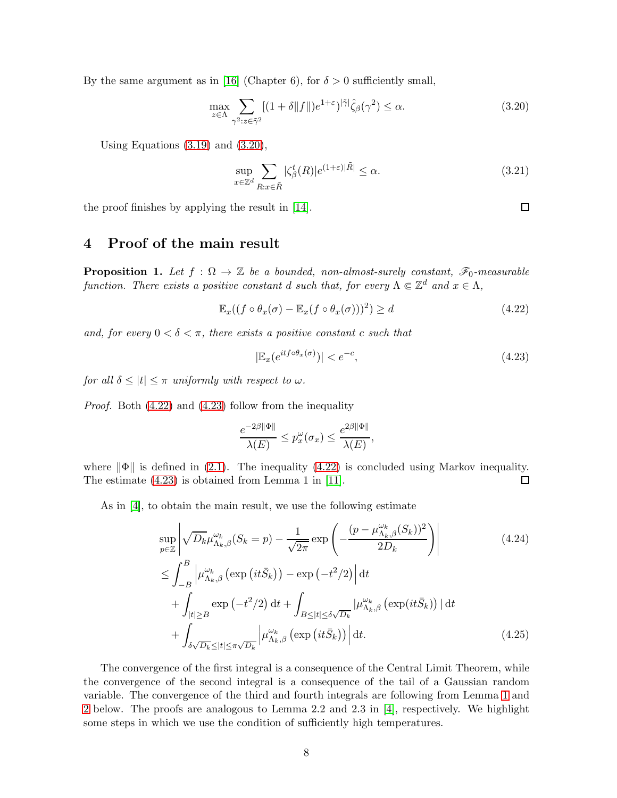By the same argument as in [\[16\]](#page-10-11) (Chapter 6), for  $\delta > 0$  sufficiently small,

<span id="page-7-0"></span>
$$
\max_{z \in \Lambda} \sum_{\gamma^2 : z \in \tilde{\gamma}^2} [(1 + \delta \|f\|) e^{1 + \varepsilon})^{|\tilde{\gamma}|} \hat{\zeta}_{\beta}(\gamma^2) \le \alpha. \tag{3.20}
$$

Using Equations  $(3.19)$  and  $(3.20)$ ,

$$
\sup_{x \in \mathbb{Z}^d} \sum_{R: x \in \tilde{R}} |\zeta_{\beta}^t(R)| e^{(1+\varepsilon)|\tilde{R}|} \le \alpha.
$$
\n(3.21)

the proof finishes by applying the result in [\[14\]](#page-10-15).

# 4 Proof of the main result

<span id="page-7-3"></span>**Proposition 1.** Let  $f : \Omega \to \mathbb{Z}$  be a bounded, non-almost-surely constant,  $\mathscr{F}_0$ -measurable function. There exists a positive constant d such that, for every  $\Lambda \in \mathbb{Z}^d$  and  $x \in \Lambda$ ,

<span id="page-7-1"></span>
$$
\mathbb{E}_x((f \circ \theta_x(\sigma) - \mathbb{E}_x(f \circ \theta_x(\sigma)))^2) \ge d \tag{4.22}
$$

and, for every  $0 < \delta < \pi$ , there exists a positive constant c such that

<span id="page-7-2"></span>
$$
|\mathbb{E}_x(e^{itf \circ \theta_x(\sigma)})| < e^{-c},\tag{4.23}
$$

for all  $\delta \leq |t| \leq \pi$  uniformly with respect to  $\omega$ .

Proof. Both [\(4.22\)](#page-7-1) and [\(4.23\)](#page-7-2) follow from the inequality

$$
\frac{e^{-2\beta\|\Phi\|}}{\lambda(E)}\leq p_x^\omega(\sigma_x)\leq \frac{e^{2\beta\|\Phi\|}}{\lambda(E)},
$$

where  $\|\Phi\|$  is defined in [\(2.1\)](#page-2-0). The inequality [\(4.22\)](#page-7-1) is concluded using Markov inequality.<br>The estimate (4.23) is obtained from Lemma 1 in [11]. The estimate [\(4.23\)](#page-7-2) is obtained from Lemma 1 in [\[11\]](#page-10-0).

As in [\[4\]](#page-9-0), to obtain the main result, we use the following estimate

$$
\sup_{p\in\mathbb{Z}} \left| \sqrt{D_k} \mu_{\Lambda_k,\beta}^{\omega_k}(S_k = p) - \frac{1}{\sqrt{2\pi}} \exp\left(-\frac{(p - \mu_{\Lambda_k,\beta}^{\omega_k}(S_k))^2}{2D_k}\right) \right|
$$
\n
$$
\leq \int_{-B}^{B} \left| \mu_{\Lambda_k,\beta}^{\omega_k} \left(\exp\left(it\bar{S}_k\right)\right) - \exp\left(-t^2/2\right) \right| dt + \int_{|t| \geq B} \exp\left(-t^2/2\right) dt + \int_{B \leq |t| \leq \delta\sqrt{D_k}} \left| \mu_{\Lambda_k,\beta}^{\omega_k} \left(\exp(it\bar{S}_k)\right) \right| dt + \int_{\delta\sqrt{D_k} \leq |t| \leq \pi\sqrt{D_k}} \left| \mu_{\Lambda_k,\beta}^{\omega_k} \left(\exp\left(it\bar{S}_k\right)\right) \right| dt.
$$
\n(4.25)

The convergence of the first integral is a consequence of the Central Limit Theorem, while the convergence of the second integral is a consequence of the tail of a Gaussian random variable. The convergence of the third and fourth integrals are following from Lemma [1](#page-8-0) and [2](#page-8-1) below. The proofs are analogous to Lemma 2.2 and 2.3 in [\[4\]](#page-9-0), respectively. We highlight some steps in which we use the condition of sufficiently high temperatures.

 $\Box$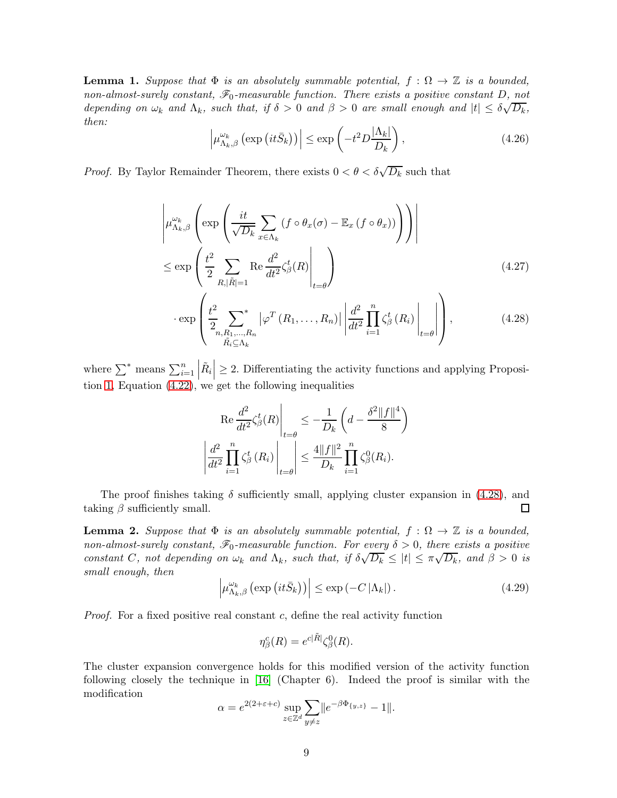<span id="page-8-0"></span>**Lemma 1.** Suppose that  $\Phi$  is an absolutely summable potential,  $f : \Omega \to \mathbb{Z}$  is a bounded, non-almost-surely constant,  $\mathcal{F}_0$ -measurable function. There exists a positive constant D, not depending on  $\omega_k$  and  $\Lambda_k$ , such that, if  $\delta > 0$  and  $\beta > 0$  are small enough and  $|t| \leq \delta \sqrt{D_k}$ , then:

$$
\left| \mu_{\Lambda_k, \beta}^{\omega_k} \left( \exp\left(it \bar{S}_k\right) \right) \right| \le \exp\left(-t^2 D \frac{|\Lambda_k|}{D_k}\right),\tag{4.26}
$$

*Proof.* By Taylor Remainder Theorem, there exists  $0 < \theta < \delta \sqrt{D_k}$  such that

$$
\left| \mu_{\Lambda_k, \beta}^{\omega_k} \left( \exp \left( \frac{it}{\sqrt{D_k}} \sum_{x \in \Lambda_k} (f \circ \theta_x(\sigma) - \mathbb{E}_x (f \circ \theta_x)) \right) \right) \right|
$$
  

$$
\leq \exp \left( \frac{t^2}{2} \sum_{R, |\tilde{R}| = 1} \text{Re} \frac{d^2}{dt^2} \zeta_{\beta}^t(R) \Big|_{t = \theta} \right)
$$
(4.27)

$$
\cdot \exp\left(\frac{t^2}{2} \sum_{\substack{n,R_1,\ldots,R_n \\ \tilde{R}_i \subseteq \Delta_k}}^* |\varphi^T(R_1,\ldots,R_n)| \left|\frac{d^2}{dt^2} \prod_{i=1}^n \zeta_{\beta}^t(R_i) \right|_{t=\theta} \right),\tag{4.28}
$$

where  $\sum^*$  means  $\sum_{i=1}^n$  $|\tilde{R}_i| \geq 2$ . Differentiating the activity functions and applying Proposition [1,](#page-7-3) Equation [\(4.22\)](#page-7-1), we get the following inequalities

<span id="page-8-2"></span>
$$
\left. \text{Re} \frac{d^2}{dt^2} \zeta_{\beta}^t(R) \right|_{t=\theta} \le -\frac{1}{D_k} \left( d - \frac{\delta^2 \|f\|^4}{8} \right)
$$

$$
\left| \frac{d^2}{dt^2} \prod_{i=1}^n \zeta_{\beta}^t(R_i) \right|_{t=\theta} \le \frac{4 \|f\|^2}{D_k} \prod_{i=1}^n \zeta_{\beta}^0(R_i).
$$

The proof finishes taking  $\delta$  sufficiently small, applying cluster expansion in [\(4.28\)](#page-8-2), and taking  $\beta$  sufficiently small.  $\Box$ 

<span id="page-8-1"></span>**Lemma 2.** Suppose that  $\Phi$  is an absolutely summable potential,  $f : \Omega \to \mathbb{Z}$  is a bounded, non-almost-surely constant,  $\mathscr{F}_0$ -measurable function. For every  $\delta > 0$ , there exists a positive constant C, not depending on  $\omega_k$  and  $\Lambda_k$ , such that, if  $\delta \sqrt{D_k} \leq |t| \leq \pi \sqrt{D_k}$ , and  $\beta > 0$  is small enough, then

<span id="page-8-3"></span>
$$
\left| \mu_{\Lambda_k, \beta}^{\omega_k} \left( \exp\left( it \bar{S}_k \right) \right) \right| \le \exp\left( -C \left| \Lambda_k \right| \right). \tag{4.29}
$$

*Proof.* For a fixed positive real constant  $c$ , define the real activity function

$$
\eta_{\beta}^{c}(R) = e^{c|\tilde{R}|} \zeta_{\beta}^{0}(R).
$$

The cluster expansion convergence holds for this modified version of the activity function following closely the technique in [\[16\]](#page-10-11) (Chapter 6). Indeed the proof is similar with the modification

$$
\alpha = e^{2(2+\varepsilon+c)} \sup_{z \in \mathbb{Z}^d} \sum_{y \neq z} ||e^{-\beta \Phi_{\{y,z\}}}-1||.
$$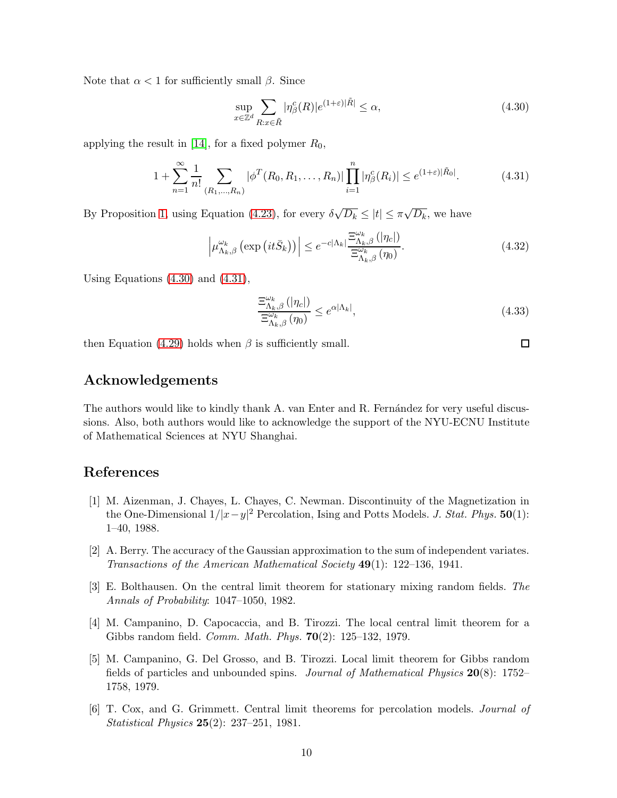Note that  $\alpha < 1$  for sufficiently small  $\beta$ . Since

<span id="page-9-6"></span>
$$
\sup_{x \in \mathbb{Z}^d} \sum_{R: x \in \tilde{R}} |\eta_{\beta}^c(R)| e^{(1+\varepsilon)|\tilde{R}|} \le \alpha,\tag{4.30}
$$

applying the result in [\[14\]](#page-10-15), for a fixed polymer  $R_0$ ,

<span id="page-9-7"></span>
$$
1 + \sum_{n=1}^{\infty} \frac{1}{n!} \sum_{(R_1, \dots, R_n)} |\phi^T(R_0, R_1, \dots, R_n)| \prod_{i=1}^n |\eta_{\beta}^c(R_i)| \le e^{(1+\varepsilon)|\tilde{R}_0|}.
$$
 (4.31)

By Proposition [1,](#page-7-3) using Equation [\(4.23\)](#page-7-2), for every  $\delta \sqrt{D_k} \leq |t| \leq \pi \sqrt{D_k}$ , we have

$$
\left| \mu_{\Lambda_k, \beta}^{\omega_k} \left( \exp\left(it\bar{S}_k\right) \right) \right| \le e^{-c|\Lambda_k|} \frac{\Xi_{\Lambda_k, \beta}^{\omega_k} \left(|\eta_c|\right)}{\Xi_{\Lambda_k, \beta}^{\omega_k} \left(\eta_0\right)}.\tag{4.32}
$$

Using Equations [\(4.30\)](#page-9-6) and [\(4.31\)](#page-9-7),

$$
\frac{\Xi_{\Lambda_k,\beta}^{\omega_k}(|\eta_c|)}{\Xi_{\Lambda_k,\beta}^{\omega_k}(\eta_0)} \le e^{\alpha|\Lambda_k|},\tag{4.33}
$$

then Equation [\(4.29\)](#page-8-3) holds when  $\beta$  is sufficiently small.

### Acknowledgements

The authors would like to kindly thank A. van Enter and R. Fernández for very useful discussions. Also, both authors would like to acknowledge the support of the NYU-ECNU Institute of Mathematical Sciences at NYU Shanghai.

# <span id="page-9-5"></span>References

- [1] M. Aizenman, J. Chayes, L. Chayes, C. Newman. Discontinuity of the Magnetization in the One-Dimensional  $1/|x-y|^2$  Percolation, Ising and Potts Models. *J. Stat. Phys.* **50**(1): 1–40, 1988.
- <span id="page-9-1"></span>[2] A. Berry. The accuracy of the Gaussian approximation to the sum of independent variates. Transactions of the American Mathematical Society 49(1): 122–136, 1941.
- <span id="page-9-2"></span>[3] E. Bolthausen. On the central limit theorem for stationary mixing random fields. The Annals of Probability: 1047–1050, 1982.
- <span id="page-9-0"></span>[4] M. Campanino, D. Capocaccia, and B. Tirozzi. The local central limit theorem for a Gibbs random field. Comm. Math. Phys. 70(2): 125–132, 1979.
- <span id="page-9-4"></span>[5] M. Campanino, G. Del Grosso, and B. Tirozzi. Local limit theorem for Gibbs random fields of particles and unbounded spins. Journal of Mathematical Physics 20(8): 1752– 1758, 1979.
- <span id="page-9-3"></span>[6] T. Cox, and G. Grimmett. Central limit theorems for percolation models. Journal of *Statistical Physics*  $25(2)$ :  $237-251$ , 1981.

 $\Box$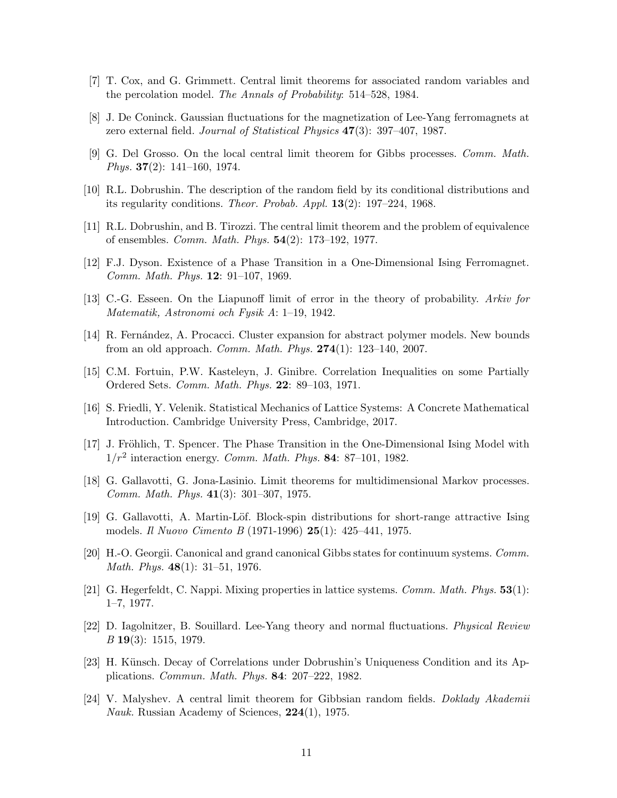- <span id="page-10-3"></span><span id="page-10-2"></span>[7] T. Cox, and G. Grimmett. Central limit theorems for associated random variables and the percolation model. The Annals of Probability: 514–528, 1984.
- [8] J. De Coninck. Gaussian fluctuations for the magnetization of Lee-Yang ferromagnets at zero external field. Journal of Statistical Physics 47(3): 397–407, 1987.
- <span id="page-10-14"></span>[9] G. Del Grosso. On the local central limit theorem for Gibbs processes. Comm. Math. *Phys.* **37** $(2)$ : 141–160, 1974.
- <span id="page-10-0"></span>[10] R.L. Dobrushin. The description of the random field by its conditional distributions and its regularity conditions. Theor. Probab. Appl. 13(2): 197–224, 1968.
- <span id="page-10-12"></span>[11] R.L. Dobrushin, and B. Tirozzi. The central limit theorem and the problem of equivalence of ensembles. Comm. Math. Phys. 54(2): 173–192, 1977.
- <span id="page-10-1"></span>[12] F.J. Dyson. Existence of a Phase Transition in a One-Dimensional Ising Ferromagnet. Comm. Math. Phys. 12: 91–107, 1969.
- <span id="page-10-15"></span>[13] C.-G. Esseen. On the Liapunoff limit of error in the theory of probability. Arkiv for Matematik, Astronomi och Fysik A: 1–19, 1942.
- [14] R. Fernández, A. Procacci. Cluster expansion for abstract polymer models. New bounds from an old approach. Comm. Math. Phys. 274(1): 123–140, 2007.
- <span id="page-10-11"></span>[15] C.M. Fortuin, P.W. Kasteleyn, J. Ginibre. Correlation Inequalities on some Partially Ordered Sets. Comm. Math. Phys. 22: 89–103, 1971.
- <span id="page-10-13"></span>[16] S. Friedli, Y. Velenik. Statistical Mechanics of Lattice Systems: A Concrete Mathematical Introduction. Cambridge University Press, Cambridge, 2017.
- [17] J. Fröhlich, T. Spencer. The Phase Transition in the One-Dimensional Ising Model with  $1/r^2$  interaction energy. Comm. Math. Phys. 84: 87-101, 1982.
- <span id="page-10-10"></span><span id="page-10-9"></span>[18] G. Gallavotti, G. Jona-Lasinio. Limit theorems for multidimensional Markov processes. Comm. Math. Phys. 41(3): 301–307, 1975.
- [19] G. Gallavotti, A. Martin-Löf. Block-spin distributions for short-range attractive Ising models. Il Nuovo Cimento B (1971-1996) 25(1): 425–441, 1975.
- <span id="page-10-4"></span>[20] H.-O. Georgii. Canonical and grand canonical Gibbs states for continuum systems. Comm. *Math. Phys.*  $48(1)$ : 31–51, 1976.
- <span id="page-10-6"></span><span id="page-10-5"></span>[21] G. Hegerfeldt, C. Nappi. Mixing properties in lattice systems. Comm. Math. Phys. 53(1): 1–7, 1977.
- [22] D. Iagolnitzer, B. Souillard. Lee-Yang theory and normal fluctuations. Physical Review B 19(3): 1515, 1979.
- <span id="page-10-8"></span>[23] H. Künsch. Decay of Correlations under Dobrushin's Uniqueness Condition and its Applications. Commun. Math. Phys. 84: 207–222, 1982.
- <span id="page-10-7"></span>[24] V. Malyshev. A central limit theorem for Gibbsian random fields. Doklady Akademii Nauk. Russian Academy of Sciences, 224(1), 1975.